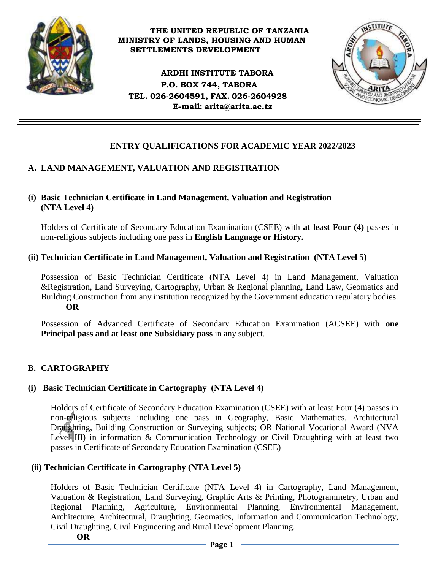

#### **THE UNITED REPUBLIC OF TANZANIA MINISTRY OF LANDS, HOUSING AND HUMAN SETTLEMENTS DEVELOPMENT**

**ARDHI INSTITUTE TABORA P.O. BOX 744, TABORA TEL. 026-2604591, FAX. 026-2604928 E-mail: [arita@arita.ac.tz](mailto:arita@arita.ac.tz)**



# **ENTRY QUALIFICATIONS FOR ACADEMIC YEAR 2022/2023**

## **A. LAND MANAGEMENT, VALUATION AND REGISTRATION**

## **(i) Basic Technician Certificate in Land Management, Valuation and Registration (NTA Level 4)**

Holders of Certificate of Secondary Education Examination (CSEE) with **at least Four (4)** passes in non-religious subjects including one pass in **English Language or History.**

## **(ii) Technician Certificate in Land Management, Valuation and Registration (NTA Level 5)**

Possession of Basic Technician Certificate (NTA Level 4) in Land Management, Valuation &Registration, Land Surveying, Cartography, Urban & Regional planning, Land Law, Geomatics and Building Construction from any institution recognized by the Government education regulatory bodies.  **OR**

Possession of Advanced Certificate of Secondary Education Examination (ACSEE) with **one Principal pass and at least one Subsidiary pass** in any subject.

## **B. CARTOGRAPHY**

## **(i) Basic Technician Certificate in Cartography (NTA Level 4)**

Holders of Certificate of Secondary Education Examination (CSEE) with at least Four (4) passes in non-religious subjects including one pass in Geography, Basic Mathematics, Architectural Draughting, Building Construction or Surveying subjects; OR National Vocational Award (NVA Level III) in information & Communication Technology or Civil Draughting with at least two passes in Certificate of Secondary Education Examination (CSEE)

## **(ii) Technician Certificate in Cartography (NTA Level 5)**

Holders of Basic Technician Certificate (NTA Level 4) in Cartography, Land Management, Valuation & Registration, Land Surveying, Graphic Arts & Printing, Photogrammetry, Urban and Regional Planning, Agriculture, Environmental Planning, Environmental Management, Architecture, Architectural, Draughting, Geomatics, Information and Communication Technology, Civil Draughting, Civil Engineering and Rural Development Planning.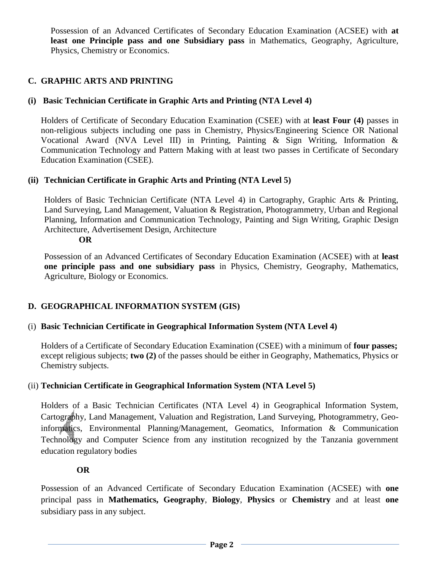Possession of an Advanced Certificates of Secondary Education Examination (ACSEE) with **at least one Principle pass and one Subsidiary pass** in Mathematics, Geography, Agriculture, Physics, Chemistry or Economics.

## **C. GRAPHIC ARTS AND PRINTING**

## **(i) Basic Technician Certificate in Graphic Arts and Printing (NTA Level 4)**

Holders of Certificate of Secondary Education Examination (CSEE) with at **least Four (4)** passes in non-religious subjects including one pass in Chemistry, Physics/Engineering Science OR National Vocational Award (NVA Level III) in Printing, Painting & Sign Writing, Information & Communication Technology and Pattern Making with at least two passes in Certificate of Secondary Education Examination (CSEE).

## **(ii) Technician Certificate in Graphic Arts and Printing (NTA Level 5)**

Holders of Basic Technician Certificate (NTA Level 4) in Cartography, Graphic Arts & Printing, Land Surveying, Land Management, Valuation & Registration, Photogrammetry, Urban and Regional Planning, Information and Communication Technology, Painting and Sign Writing, Graphic Design Architecture, Advertisement Design, Architecture

#### **OR**

Possession of an Advanced Certificates of Secondary Education Examination (ACSEE) with at **least one principle pass and one subsidiary pass** in Physics, Chemistry, Geography, Mathematics, Agriculture, Biology or Economics.

## **D. GEOGRAPHICAL INFORMATION SYSTEM (GIS)**

## (i) **Basic Technician Certificate in Geographical Information System (NTA Level 4)**

Holders of a Certificate of Secondary Education Examination (CSEE) with a minimum of **four passes;** except religious subjects; **two (2)** of the passes should be either in Geography, Mathematics, Physics or Chemistry subjects.

## (ii) **Technician Certificate in Geographical Information System (NTA Level 5)**

Holders of a Basic Technician Certificates (NTA Level 4) in Geographical Information System, Cartography, Land Management, Valuation and Registration, Land Surveying, Photogrammetry, Geoinformatics, Environmental Planning/Management, Geomatics, Information & Communication Technology and Computer Science from any institution recognized by the Tanzania government education regulatory bodies

## **OR**

Possession of an Advanced Certificate of Secondary Education Examination (ACSEE) with **one** principal pass in **Mathematics, Geography**, **Biology**, **Physics** or **Chemistry** and at least **one**  subsidiary pass in any subject.